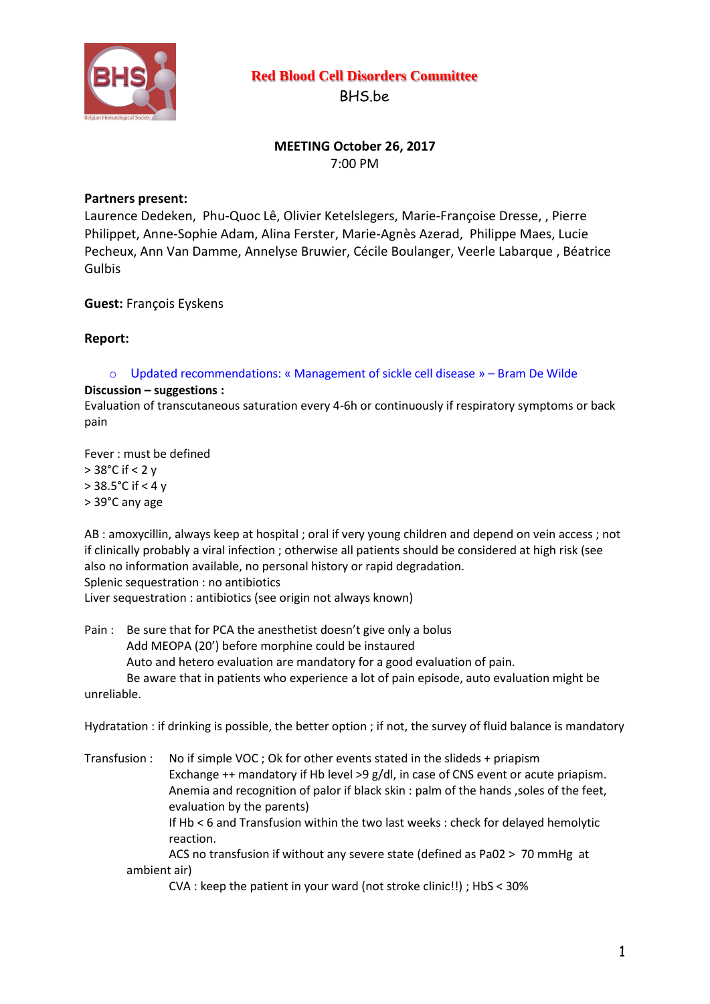

# **Red Blood Cell Disorders Committee**

BHS.be

## **MEETING October 26, 2017** 7:00 PM

## **Partners present:**

Laurence Dedeken, Phu-Quoc Lê, Olivier Ketelslegers, Marie-Françoise Dresse, , Pierre Philippet, Anne-Sophie Adam, Alina Ferster, Marie-Agnès Azerad, Philippe Maes, Lucie Pecheux, Ann Van Damme, Annelyse Bruwier, Cécile Boulanger, Veerle Labarque , Béatrice Gulbis

### **Guest:** François Eyskens

### **Report:**

 $\circ$  Updated recommendations: « Management of sickle cell disease » – Bram De Wilde

#### **Discussion – suggestions :**

Evaluation of transcutaneous saturation every 4-6h or continuously if respiratory symptoms or back pain

Fever : must be defined > 38°C if < 2 y > 38.5°C if < 4 y > 39°C any age

AB : amoxycillin, always keep at hospital ; oral if very young children and depend on vein access ; not if clinically probably a viral infection ; otherwise all patients should be considered at high risk (see also no information available, no personal history or rapid degradation. Splenic sequestration : no antibiotics

Liver sequestration : antibiotics (see origin not always known)

Pain : Be sure that for PCA the anesthetist doesn't give only a bolus Add MEOPA (20') before morphine could be instaured Auto and hetero evaluation are mandatory for a good evaluation of pain. Be aware that in patients who experience a lot of pain episode, auto evaluation might be unreliable.

Hydratation : if drinking is possible, the better option ; if not, the survey of fluid balance is mandatory

Transfusion : No if simple VOC ; Ok for other events stated in the slideds + priapism Exchange ++ mandatory if Hb level >9 g/dl, in case of CNS event or acute priapism. Anemia and recognition of palor if black skin : palm of the hands ,soles of the feet, evaluation by the parents) If Hb < 6 and Transfusion within the two last weeks : check for delayed hemolytic reaction. ACS no transfusion if without any severe state (defined as Pa02 > 70 mmHg at ambient air)

CVA : keep the patient in your ward (not stroke clinic!!) ; HbS < 30%